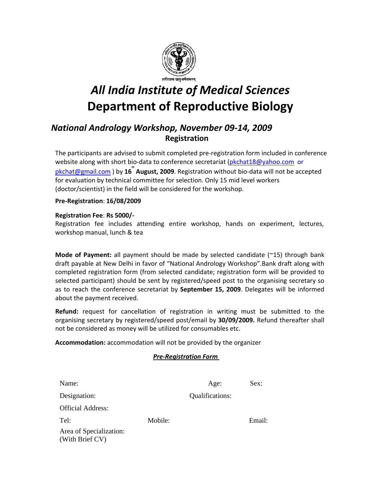

# *All India Institute of Medical Sciences* **Department of Reproductive Biology**

# *National Andrology Workshop, November 09‐14, 2009* **Registration**

The participants are advised to submit completed pre‐registration form included in conference website along with short bio-data to conference secretariat ([pkchat18@yahoo.com](mailto:pkchat18@yahoo.com) or [pkchat@gmail.com](mailto:pkchat@gmail.com) ) by **16th August, 2009**. Registration without bio‐data will not be accepted for evaluation by technical committee for selection. Only 15 mid level workers (doctor/scientist) in the field will be considered for the workshop.

#### **Pre‐Registration**: **16/08/2009**

#### **Registration Fee**: **Rs 5000/‐**

Registration fee includes attending entire workshop, hands on experiment, lectures, workshop manual, lunch & tea

**Mode of Payment:** all payment should be made by selected candidate (~15) through bank draft payable at New Delhi in favor of "National Andrology Workshop".Bank draft along with completed registration form (from selected candidate; registration form will be provided to selected participant) should be sent by registered/speed post to the organising secretary so as to reach the conference secretariat by **September 15, 2009**. Delegates will be informed about the payment received.

**Refund:** request for cancellation of registration in writing must be submitted to the organising secretary by registered/speed post/email by **30/09/2009.** Refund thereafter shall not be considered as money will be utilized for consumables etc.

**Accommodation:** accommodation will not be provided by the organizer

#### *Pre‐Registration Form*

| Name:                                      |         | Age:            | Sex:   |
|--------------------------------------------|---------|-----------------|--------|
| Designation:                               |         | Qualifications: |        |
| <b>Official Address:</b>                   |         |                 |        |
| Tel:                                       | Mobile: |                 | Email: |
| Area of Specialization:<br>(With Brief CV) |         |                 |        |